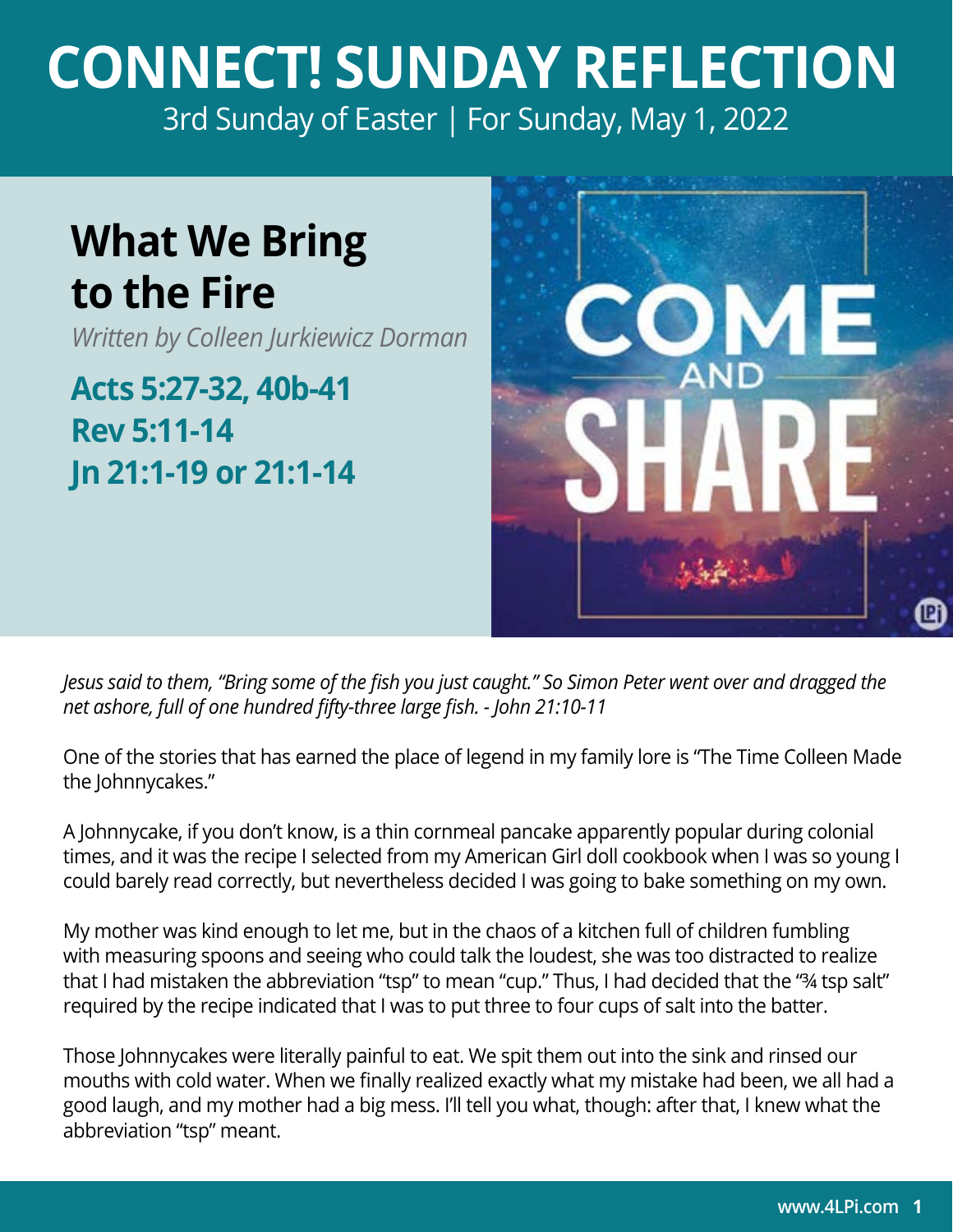## **CONNECT! SUNDAY REFLECTION** [3rd Sunday of Easter | For Sunday, May 1, 2022](https://bible.usccb.org/bible/readings/050122.cfm)

## **What We Bring to the Fire**

*Written by Colleen Jurkiewicz Dorman*

**Acts 5:27-32, 40b-41 Rev 5:11-14 Jn 21:1-19 or 21:1-14**



*Jesus said to them, "Bring some of the fish you just caught." So Simon Peter went over and dragged the net ashore, full of one hundred fifty-three large fish. - John 21:10-11* 

One of the stories that has earned the place of legend in my family lore is "The Time Colleen Made the Johnnycakes."

A Johnnycake, if you don't know, is a thin cornmeal pancake apparently popular during colonial times, and it was the recipe I selected from my American Girl doll cookbook when I was so young I could barely read correctly, but nevertheless decided I was going to bake something on my own.

My mother was kind enough to let me, but in the chaos of a kitchen full of children fumbling with measuring spoons and seeing who could talk the loudest, she was too distracted to realize that I had mistaken the abbreviation "tsp" to mean "cup." Thus, I had decided that the "¾ tsp salt" required by the recipe indicated that I was to put three to four cups of salt into the batter.

Those Johnnycakes were literally painful to eat. We spit them out into the sink and rinsed our mouths with cold water. When we finally realized exactly what my mistake had been, we all had a good laugh, and my mother had a big mess. I'll tell you what, though: after that, I knew what the abbreviation "tsp" meant.